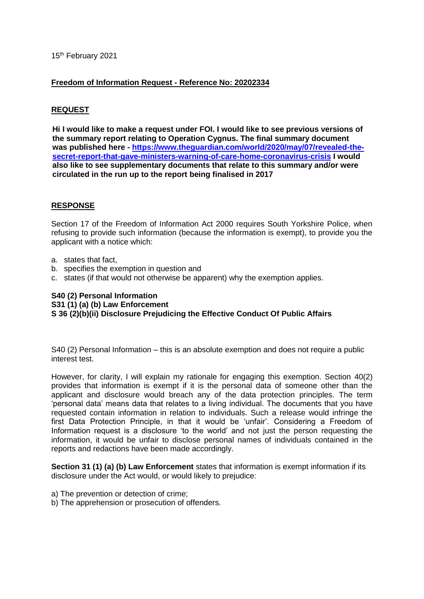## 15<sup>th</sup> February 2021

#### **Freedom of Information Request - Reference No: 20202334**

#### **REQUEST**

**Hi I would like to make a request under FOI. I would like to see previous versions of the summary report relating to Operation Cygnus. The final summary document was published here - [https://www.theguardian.com/world/2020/may/07/revealed-the](https://www.theguardian.com/world/2020/may/07/revealed-the-secret-report-that-gave-ministers-warning-of-care-home-coronavirus-crisis)[secret-report-that-gave-ministers-warning-of-care-home-coronavirus-crisis](https://www.theguardian.com/world/2020/may/07/revealed-the-secret-report-that-gave-ministers-warning-of-care-home-coronavirus-crisis) I would also like to see supplementary documents that relate to this summary and/or were circulated in the run up to the report being finalised in 2017**

#### **RESPONSE**

Section 17 of the Freedom of Information Act 2000 requires South Yorkshire Police, when refusing to provide such information (because the information is exempt), to provide you the applicant with a notice which:

- a. states that fact,
- b. specifies the exemption in question and
- c. states (if that would not otherwise be apparent) why the exemption applies.

#### **S40 (2) Personal Information S31 (1) (a) (b) Law Enforcement S 36 (2)(b)(ii) Disclosure Prejudicing the Effective Conduct Of Public Affairs**

S40 (2) Personal Information – this is an absolute exemption and does not require a public interest test.

However, for clarity, I will explain my rationale for engaging this exemption. Section 40(2) provides that information is exempt if it is the personal data of someone other than the applicant and disclosure would breach any of the data protection principles. The term 'personal data' means data that relates to a living individual. The documents that you have requested contain information in relation to individuals. Such a release would infringe the first Data Protection Principle, in that it would be 'unfair'. Considering a Freedom of Information request is a disclosure 'to the world' and not just the person requesting the information, it would be unfair to disclose personal names of individuals contained in the reports and redactions have been made accordingly.

**Section 31 (1) (a) (b) Law Enforcement** states that information is exempt information if its disclosure under the Act would, or would likely to prejudice:

- a) The prevention or detection of crime;
- b) The apprehension or prosecution of offenders.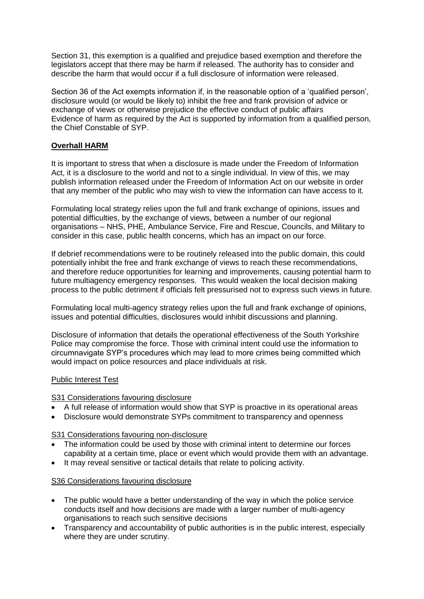Section 31, this exemption is a qualified and prejudice based exemption and therefore the legislators accept that there may be harm if released. The authority has to consider and describe the harm that would occur if a full disclosure of information were released.

Section 36 of the Act exempts information if, in the reasonable option of a 'qualified person', disclosure would (or would be likely to) inhibit the free and frank provision of advice or exchange of views or otherwise prejudice the effective conduct of public affairs Evidence of harm as required by the Act is supported by information from a qualified person, the Chief Constable of SYP.

# **Overhall HARM**

It is important to stress that when a disclosure is made under the Freedom of Information Act, it is a disclosure to the world and not to a single individual. In view of this, we may publish information released under the Freedom of Information Act on our website in order that any member of the public who may wish to view the information can have access to it.

Formulating local strategy relies upon the full and frank exchange of opinions, issues and potential difficulties, by the exchange of views, between a number of our regional organisations – NHS, PHE, Ambulance Service, Fire and Rescue, Councils, and Military to consider in this case, public health concerns, which has an impact on our force.

If debrief recommendations were to be routinely released into the public domain, this could potentially inhibit the free and frank exchange of views to reach these recommendations, and therefore reduce opportunities for learning and improvements, causing potential harm to future multiagency emergency responses. This would weaken the local decision making process to the public detriment if officials felt pressurised not to express such views in future.

Formulating local multi-agency strategy relies upon the full and frank exchange of opinions, issues and potential difficulties, disclosures would inhibit discussions and planning.

Disclosure of information that details the operational effectiveness of the South Yorkshire Police may compromise the force. Those with criminal intent could use the information to circumnavigate SYP's procedures which may lead to more crimes being committed which would impact on police resources and place individuals at risk.

## Public Interest Test

## S31 Considerations favouring disclosure

- A full release of information would show that SYP is proactive in its operational areas
- Disclosure would demonstrate SYPs commitment to transparency and openness

## S31 Considerations favouring non-disclosure

- The information could be used by those with criminal intent to determine our forces capability at a certain time, place or event which would provide them with an advantage.
- It may reveal sensitive or tactical details that relate to policing activity.

## S36 Considerations favouring disclosure

- The public would have a better understanding of the way in which the police service conducts itself and how decisions are made with a larger number of multi-agency organisations to reach such sensitive decisions
- Transparency and accountability of public authorities is in the public interest, especially where they are under scrutiny.